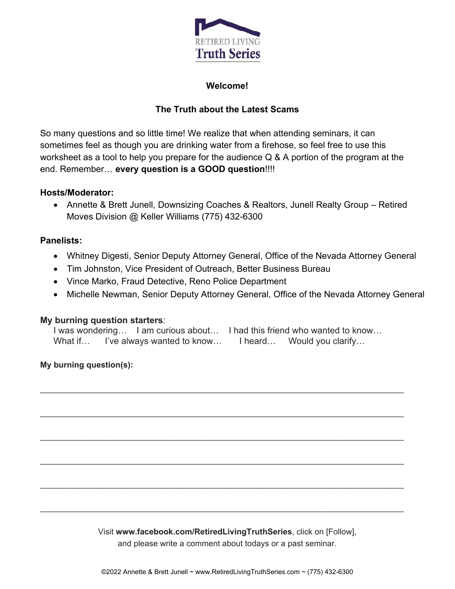

### **Welcome!**

# **The Truth about the Latest Scams**

So many questions and so little time! We realize that when attending seminars, it can sometimes feel as though you are drinking water from a firehose, so feel free to use this worksheet as a tool to help you prepare for the audience Q & A portion of the program at the end. Remember… **every question is a GOOD question**!!!!

#### **Hosts/Moderator:**

 Annette & Brett Junell, Downsizing Coaches & Realtors, Junell Realty Group – Retired Moves Division @ Keller Williams (775) 432-6300

## **Panelists:**

- Whitney Digesti, Senior Deputy Attorney General, Office of the Nevada Attorney General
- Tim Johnston, Vice President of Outreach, Better Business Bureau
- Vince Marko, Fraud Detective, Reno Police Department
- Michelle Newman, Senior Deputy Attorney General, Office of the Nevada Attorney General

#### **My burning question starters***:*

I was wondering… I am curious about… I had this friend who wanted to know… What if… I've always wanted to know… I heard… Would you clarify…

 $\mathcal{L}_\text{max}$  and  $\mathcal{L}_\text{max}$  and  $\mathcal{L}_\text{max}$  and  $\mathcal{L}_\text{max}$  and  $\mathcal{L}_\text{max}$  and  $\mathcal{L}_\text{max}$ 

 $\mathcal{L}_\mathcal{L} = \mathcal{L}_\mathcal{L} = \mathcal{L}_\mathcal{L} = \mathcal{L}_\mathcal{L} = \mathcal{L}_\mathcal{L} = \mathcal{L}_\mathcal{L} = \mathcal{L}_\mathcal{L} = \mathcal{L}_\mathcal{L} = \mathcal{L}_\mathcal{L} = \mathcal{L}_\mathcal{L} = \mathcal{L}_\mathcal{L} = \mathcal{L}_\mathcal{L} = \mathcal{L}_\mathcal{L} = \mathcal{L}_\mathcal{L} = \mathcal{L}_\mathcal{L} = \mathcal{L}_\mathcal{L} = \mathcal{L}_\mathcal{L}$ 

 $\mathcal{L}_\text{max}$  and  $\mathcal{L}_\text{max}$  and  $\mathcal{L}_\text{max}$  and  $\mathcal{L}_\text{max}$  and  $\mathcal{L}_\text{max}$  and  $\mathcal{L}_\text{max}$ 

 $\mathcal{L}_\mathcal{L} = \mathcal{L}_\mathcal{L} = \mathcal{L}_\mathcal{L} = \mathcal{L}_\mathcal{L} = \mathcal{L}_\mathcal{L} = \mathcal{L}_\mathcal{L} = \mathcal{L}_\mathcal{L} = \mathcal{L}_\mathcal{L} = \mathcal{L}_\mathcal{L} = \mathcal{L}_\mathcal{L} = \mathcal{L}_\mathcal{L} = \mathcal{L}_\mathcal{L} = \mathcal{L}_\mathcal{L} = \mathcal{L}_\mathcal{L} = \mathcal{L}_\mathcal{L} = \mathcal{L}_\mathcal{L} = \mathcal{L}_\mathcal{L}$ 

**My burning question(s):** 

Visit **www.facebook.com/RetiredLivingTruthSeries**, click on [Follow], and please write a comment about todays or a past seminar.

©2022 Annette & Brett Junell ~ www.RetiredLivingTruthSeries.com ~ (775) 432-6300